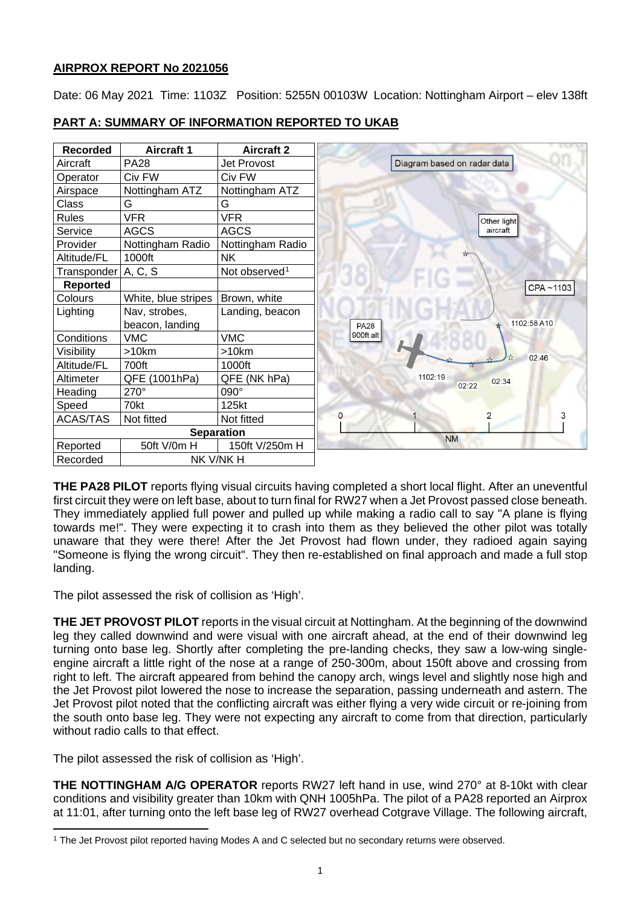# **AIRPROX REPORT No 2021056**

Date: 06 May 2021 Time: 1103Z Position: 5255N 00103W Location: Nottingham Airport – elev 138ft



# **PART A: SUMMARY OF INFORMATION REPORTED TO UKAB**

**THE PA28 PILOT** reports flying visual circuits having completed a short local flight. After an uneventful first circuit they were on left base, about to turn final for RW27 when a Jet Provost passed close beneath. They immediately applied full power and pulled up while making a radio call to say "A plane is flying towards me!". They were expecting it to crash into them as they believed the other pilot was totally unaware that they were there! After the Jet Provost had flown under, they radioed again saying "Someone is flying the wrong circuit". They then re-established on final approach and made a full stop landing.

The pilot assessed the risk of collision as 'High'.

**THE JET PROVOST PILOT** reports in the visual circuit at Nottingham. At the beginning of the downwind leg they called downwind and were visual with one aircraft ahead, at the end of their downwind leg turning onto base leg. Shortly after completing the pre-landing checks, they saw a low-wing singleengine aircraft a little right of the nose at a range of 250-300m, about 150ft above and crossing from right to left. The aircraft appeared from behind the canopy arch, wings level and slightly nose high and the Jet Provost pilot lowered the nose to increase the separation, passing underneath and astern. The Jet Provost pilot noted that the conflicting aircraft was either flying a very wide circuit or re-joining from the south onto base leg. They were not expecting any aircraft to come from that direction, particularly without radio calls to that effect.

The pilot assessed the risk of collision as 'High'.

**THE NOTTINGHAM A/G OPERATOR** reports RW27 left hand in use, wind 270° at 8-10kt with clear conditions and visibility greater than 10km with QNH 1005hPa. The pilot of a PA28 reported an Airprox at 11:01, after turning onto the left base leg of RW27 overhead Cotgrave Village. The following aircraft,

<span id="page-0-0"></span><sup>1</sup> The Jet Provost pilot reported having Modes A and C selected but no secondary returns were observed.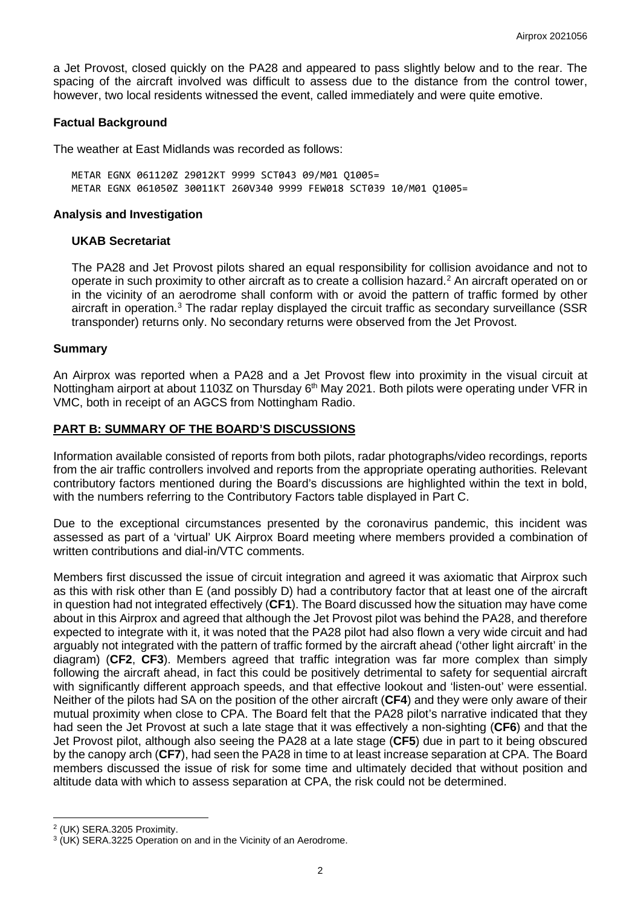a Jet Provost, closed quickly on the PA28 and appeared to pass slightly below and to the rear. The spacing of the aircraft involved was difficult to assess due to the distance from the control tower, however, two local residents witnessed the event, called immediately and were quite emotive.

### **Factual Background**

The weather at East Midlands was recorded as follows:

METAR EGNX 061120Z 29012KT 9999 SCT043 09/M01 Q1005= METAR EGNX 061050Z 30011KT 260V340 9999 FEW018 SCT039 10/M01 Q1005=

### **Analysis and Investigation**

### **UKAB Secretariat**

The PA28 and Jet Provost pilots shared an equal responsibility for collision avoidance and not to operate in such proximity to other aircraft as to create a collision hazard. [2](#page-1-0) An aircraft operated on or in the vicinity of an aerodrome shall conform with or avoid the pattern of traffic formed by other aircraft in operation.<sup>[3](#page-1-1)</sup> The radar replay displayed the circuit traffic as secondary surveillance (SSR transponder) returns only. No secondary returns were observed from the Jet Provost.

### **Summary**

An Airprox was reported when a PA28 and a Jet Provost flew into proximity in the visual circuit at Nottingham airport at about 1103Z on Thursday 6<sup>th</sup> May 2021. Both pilots were operating under VFR in VMC, both in receipt of an AGCS from Nottingham Radio.

## **PART B: SUMMARY OF THE BOARD'S DISCUSSIONS**

Information available consisted of reports from both pilots, radar photographs/video recordings, reports from the air traffic controllers involved and reports from the appropriate operating authorities. Relevant contributory factors mentioned during the Board's discussions are highlighted within the text in bold, with the numbers referring to the Contributory Factors table displayed in Part C.

Due to the exceptional circumstances presented by the coronavirus pandemic, this incident was assessed as part of a 'virtual' UK Airprox Board meeting where members provided a combination of written contributions and dial-in/VTC comments.

Members first discussed the issue of circuit integration and agreed it was axiomatic that Airprox such as this with risk other than E (and possibly D) had a contributory factor that at least one of the aircraft in question had not integrated effectively (**CF1**). The Board discussed how the situation may have come about in this Airprox and agreed that although the Jet Provost pilot was behind the PA28, and therefore expected to integrate with it, it was noted that the PA28 pilot had also flown a very wide circuit and had arguably not integrated with the pattern of traffic formed by the aircraft ahead ('other light aircraft' in the diagram) (**CF2**, **CF3**). Members agreed that traffic integration was far more complex than simply following the aircraft ahead, in fact this could be positively detrimental to safety for sequential aircraft with significantly different approach speeds, and that effective lookout and 'listen-out' were essential. Neither of the pilots had SA on the position of the other aircraft (**CF4**) and they were only aware of their mutual proximity when close to CPA. The Board felt that the PA28 pilot's narrative indicated that they had seen the Jet Provost at such a late stage that it was effectively a non-sighting (**CF6**) and that the Jet Provost pilot, although also seeing the PA28 at a late stage (**CF5**) due in part to it being obscured by the canopy arch (**CF7**), had seen the PA28 in time to at least increase separation at CPA. The Board members discussed the issue of risk for some time and ultimately decided that without position and altitude data with which to assess separation at CPA, the risk could not be determined.

<span id="page-1-0"></span><sup>2</sup> (UK) SERA.3205 Proximity.

<span id="page-1-1"></span><sup>3</sup> (UK) SERA.3225 Operation on and in the Vicinity of an Aerodrome.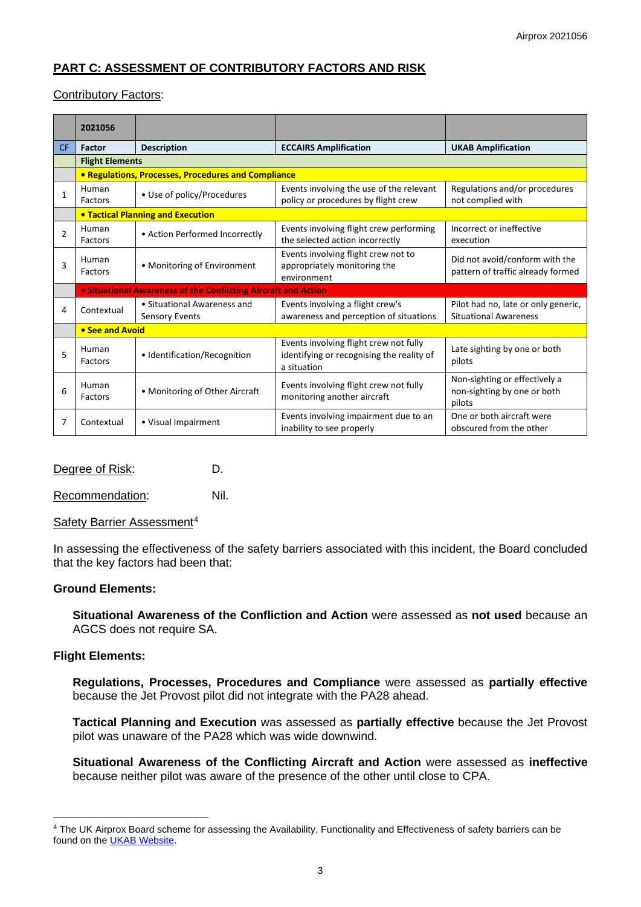# **PART C: ASSESSMENT OF CONTRIBUTORY FACTORS AND RISK**

## Contributory Factors:

|                | 2021056          |                                                                |                                                                                                    |                                                                        |  |  |  |  |  |  |  |  |
|----------------|------------------|----------------------------------------------------------------|----------------------------------------------------------------------------------------------------|------------------------------------------------------------------------|--|--|--|--|--|--|--|--|
| <b>CF</b>      | Factor           | <b>Description</b>                                             | <b>ECCAIRS Amplification</b>                                                                       | <b>UKAB Amplification</b>                                              |  |  |  |  |  |  |  |  |
|                |                  | <b>Flight Elements</b>                                         |                                                                                                    |                                                                        |  |  |  |  |  |  |  |  |
|                |                  | <b>• Regulations, Processes, Procedures and Compliance</b>     |                                                                                                    |                                                                        |  |  |  |  |  |  |  |  |
| 1              | Human<br>Factors | • Use of policy/Procedures                                     | Events involving the use of the relevant<br>policy or procedures by flight crew                    | Regulations and/or procedures<br>not complied with                     |  |  |  |  |  |  |  |  |
|                |                  | <b>. Tactical Planning and Execution</b>                       |                                                                                                    |                                                                        |  |  |  |  |  |  |  |  |
| $\overline{2}$ | Human<br>Factors | • Action Performed Incorrectly                                 | Events involving flight crew performing<br>the selected action incorrectly                         | Incorrect or ineffective<br>execution                                  |  |  |  |  |  |  |  |  |
| 3              | Human<br>Factors | • Monitoring of Environment                                    | Events involving flight crew not to<br>appropriately monitoring the<br>environment                 | Did not avoid/conform with the<br>pattern of traffic already formed    |  |  |  |  |  |  |  |  |
|                |                  | • Situational Awareness of the Conflicting Aircraft and Action |                                                                                                    |                                                                        |  |  |  |  |  |  |  |  |
| 4              | Contextual       | • Situational Awareness and<br>Sensory Events                  | Events involving a flight crew's<br>awareness and perception of situations                         | Pilot had no, late or only generic,<br><b>Situational Awareness</b>    |  |  |  |  |  |  |  |  |
|                | • See and Avoid  |                                                                |                                                                                                    |                                                                        |  |  |  |  |  |  |  |  |
| 5              | Human<br>Factors | · Identification/Recognition                                   | Events involving flight crew not fully<br>identifying or recognising the reality of<br>a situation | Late sighting by one or both<br>pilots                                 |  |  |  |  |  |  |  |  |
| 6              | Human<br>Factors | • Monitoring of Other Aircraft                                 | Events involving flight crew not fully<br>monitoring another aircraft                              | Non-sighting or effectively a<br>non-sighting by one or both<br>pilots |  |  |  |  |  |  |  |  |
| 7              | Contextual       | • Visual Impairment                                            | Events involving impairment due to an<br>inability to see properly                                 | One or both aircraft were<br>obscured from the other                   |  |  |  |  |  |  |  |  |

## Degree of Risk: D.

Recommendation: Nil.

### Safety Barrier Assessment<sup>[4](#page-2-0)</sup>

In assessing the effectiveness of the safety barriers associated with this incident, the Board concluded that the key factors had been that:

### **Ground Elements:**

**Situational Awareness of the Confliction and Action** were assessed as **not used** because an AGCS does not require SA.

### **Flight Elements:**

**Regulations, Processes, Procedures and Compliance** were assessed as **partially effective** because the Jet Provost pilot did not integrate with the PA28 ahead.

**Tactical Planning and Execution** was assessed as **partially effective** because the Jet Provost pilot was unaware of the PA28 which was wide downwind.

**Situational Awareness of the Conflicting Aircraft and Action** were assessed as **ineffective** because neither pilot was aware of the presence of the other until close to CPA.

<span id="page-2-0"></span><sup>4</sup> The UK Airprox Board scheme for assessing the Availability, Functionality and Effectiveness of safety barriers can be found on the [UKAB Website.](http://www.airproxboard.org.uk/Learn-more/Airprox-Barrier-Assessment/)